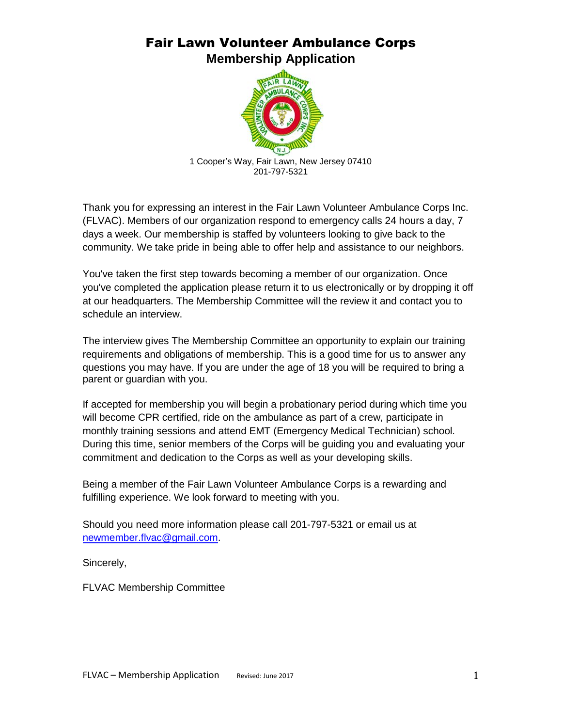## Fair Lawn Volunteer Ambulance Corps **Membership Application**



Thank you for expressing an interest in the Fair Lawn Volunteer Ambulance Corps Inc. (FLVAC). Members of our organization respond to emergency calls 24 hours a day, 7 days a week. Our membership is staffed by volunteers looking to give back to the community. We take pride in being able to offer help and assistance to our neighbors.

You've taken the first step towards becoming a member of our organization. Once you've completed the application please return it to us electronically or by dropping it off at our headquarters. The Membership Committee will the review it and contact you to schedule an interview.

The interview gives The Membership Committee an opportunity to explain our training requirements and obligations of membership. This is a good time for us to answer any questions you may have. If you are under the age of 18 you will be required to bring a parent or guardian with you.

If accepted for membership you will begin a probationary period during which time you will become CPR certified, ride on the ambulance as part of a crew, participate in monthly training sessions and attend EMT (Emergency Medical Technician) school. During this time, senior members of the Corps will be guiding you and evaluating your commitment and dedication to the Corps as well as your developing skills.

Being a member of the Fair Lawn Volunteer Ambulance Corps is a rewarding and fulfilling experience. We look forward to meeting with you.

Should you need more information please call 201-797-5321 or email us at [newmember.flvac@gmail.com.](mailto:newmember.flvac@gmail.com)

Sincerely,

FLVAC Membership Committee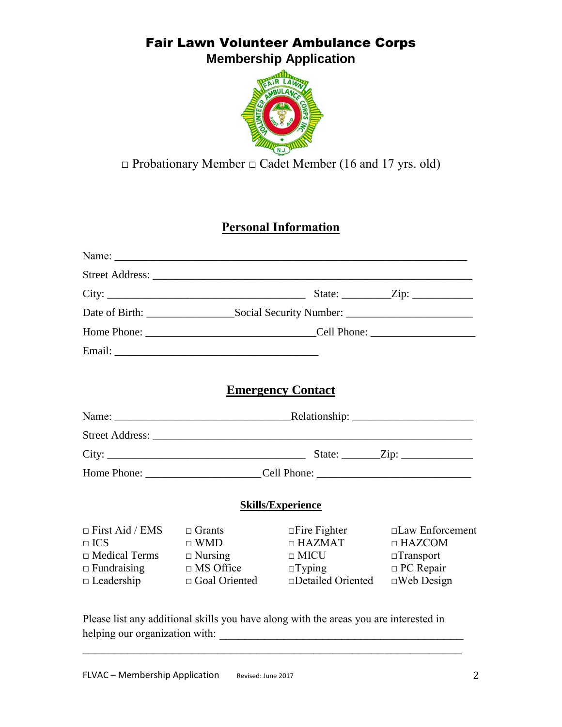## Fair Lawn Volunteer Ambulance Corps **Membership Application**



## **□** Probationary Member **□** Cadet Member (16 and 17 yrs. old)

### **Personal Information**

|                                                                                                         |                                                                                           | <b>Emergency Contact</b>                                                                            |                                                                                                      |
|---------------------------------------------------------------------------------------------------------|-------------------------------------------------------------------------------------------|-----------------------------------------------------------------------------------------------------|------------------------------------------------------------------------------------------------------|
|                                                                                                         |                                                                                           |                                                                                                     |                                                                                                      |
|                                                                                                         |                                                                                           |                                                                                                     |                                                                                                      |
|                                                                                                         |                                                                                           |                                                                                                     |                                                                                                      |
|                                                                                                         |                                                                                           |                                                                                                     |                                                                                                      |
|                                                                                                         |                                                                                           | <b>Skills/Experience</b>                                                                            |                                                                                                      |
| $\Box$ First Aid / EMS<br>$\Box$ ICS<br>$\Box$ Medical Terms<br>$\Box$ Fundraising<br>$\Box$ Leadership | $\Box$ Grants<br>$\Box$ WMD<br>$\Box$ Nursing<br>$\Box$ MS Office<br>$\Box$ Goal Oriented | $\Box$ Fire Fighter<br>$\Box$ HAZMAT<br>$\Box$ MICU<br>$\Box$ Typing<br>$\square$ Detailed Oriented | $\Box$ Law Enforcement<br>$\Box$ HAZCOM<br>$\Box$ Transport<br>$\Box$ PC Repair<br>$\Box$ Web Design |
|                                                                                                         |                                                                                           | Please list any additional skills you have along with the areas you are interested in               |                                                                                                      |

st any additional skills you have along with the areas you are interested helping our organization with: \_\_\_\_\_\_\_\_\_\_\_\_\_\_\_\_\_\_\_\_\_\_\_\_\_\_\_\_\_\_\_\_\_\_\_\_\_\_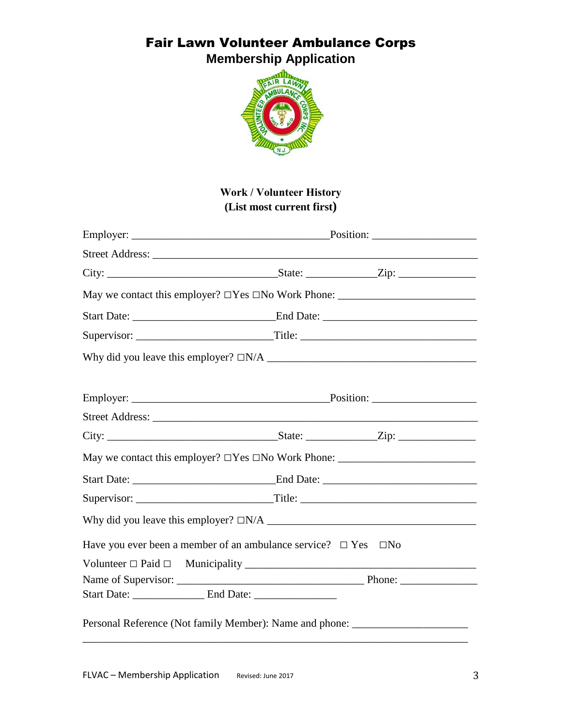**Membership Application**



#### **Work / Volunteer History (List most current first)**

| May we contact this employer? $\Box$ Yes $\Box$ No Work Phone: $\_\_\_\_\_\_\_\_\_\_\_\_\_\_\_\_\_\_\_\_\_\_\_\_\_\_\_\_\_\_$ |  |
|-------------------------------------------------------------------------------------------------------------------------------|--|
|                                                                                                                               |  |
|                                                                                                                               |  |
|                                                                                                                               |  |
| Have you ever been a member of an ambulance service? $\Box$ Yes $\Box$ No                                                     |  |
|                                                                                                                               |  |
|                                                                                                                               |  |
|                                                                                                                               |  |
| Personal Reference (Not family Member): Name and phone: ________________________                                              |  |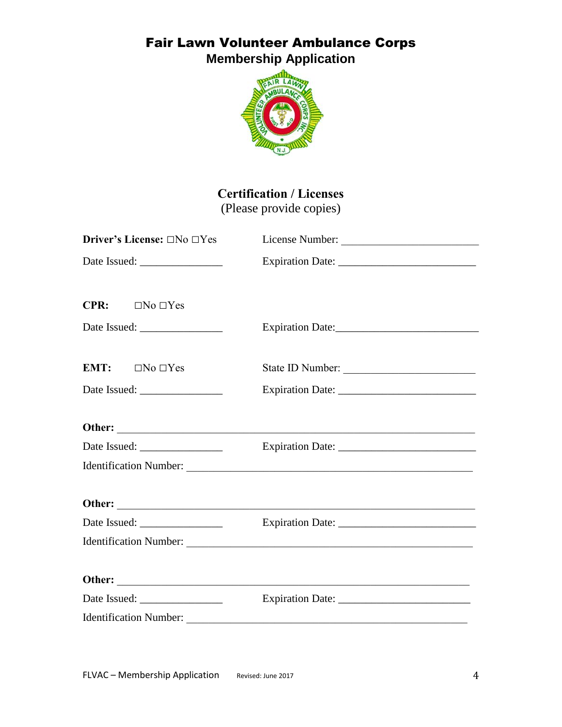**Membership Application**



## **Certification / Licenses**

(Please provide copies)

| Driver's License: □No □Yes          | License Number:       |
|-------------------------------------|-----------------------|
|                                     |                       |
| <b>CPR:</b><br>$\Box$ No $\Box$ Yes |                       |
|                                     | Expiration Date: 1988 |
| EMT:<br>$\Box$ No $\Box$ Yes        | State ID Number:      |
|                                     | Expiration Date:      |
|                                     |                       |
|                                     |                       |
|                                     |                       |
|                                     |                       |
|                                     |                       |
|                                     |                       |
|                                     |                       |
|                                     |                       |
|                                     |                       |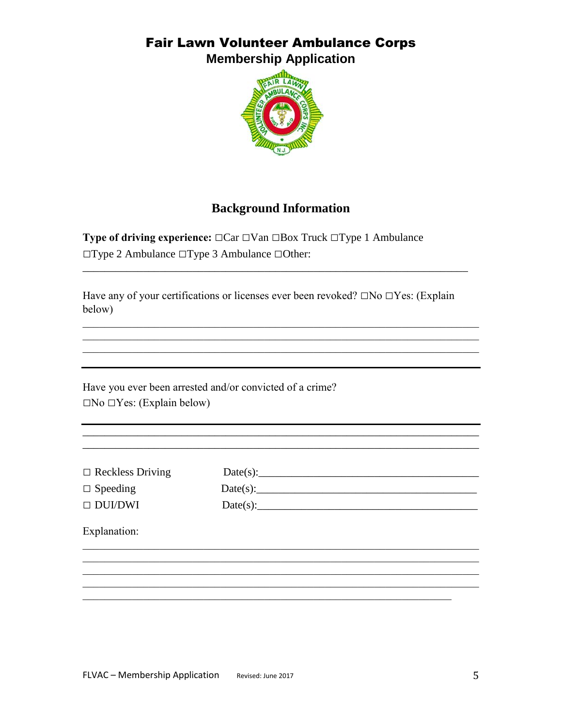**Membership Application** 



## **Background Information**

**Type of driving experience:**  $\Box$ Car  $\Box$ Van  $\Box$ Box Truck  $\Box$ Type 1 Ambulance  $\Box$ Type 2 Ambulance  $\Box$ Type 3 Ambulance  $\Box$ Other:

Have any of your certifications or licenses ever been revoked?  $\square$ No  $\square$ Yes: (Explain below)

Have you ever been arrested and/or convicted of a crime?  $\Box$ No  $\Box$ Yes: (Explain below)

 $\Box$  Reckless Driving

| $\Box$ Speeding |  |
|-----------------|--|
| $\Box$ DUI/DWI  |  |

| Date(s): |  |  |
|----------|--|--|
| Date(s): |  |  |
| Date(s): |  |  |

Explanation: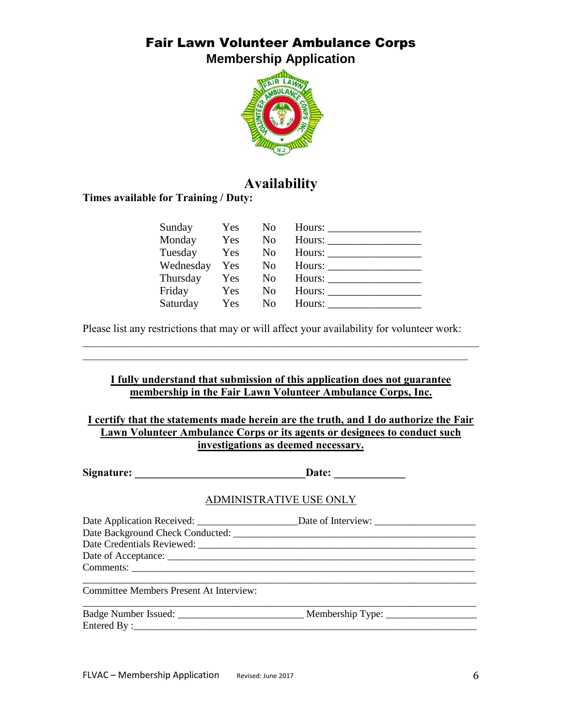**Membership Application**



## **Availability**

**Times available for Training / Duty:**

| Sunday    | Yes        | No.            | Hours: $\_\_$          |
|-----------|------------|----------------|------------------------|
| Monday    | Yes        | No.            |                        |
| Tuesday   | Yes        | N <sub>0</sub> |                        |
| Wednesday | Yes        | N <sub>0</sub> | Hours:                 |
| Thursday  | Yes        | N <sub>0</sub> | Hours: $\frac{\ }{\ }$ |
| Friday    | Yes        | N <sub>0</sub> |                        |
| Saturday  | <b>Yes</b> | No             | Hours:                 |

Please list any restrictions that may or will affect your availability for volunteer work:

#### **I fully understand that submission of this application does not guarantee membership in the Fair Lawn Volunteer Ambulance Corps, Inc.**

 $\mathcal{L}_\text{max}$  , and the contribution of the contribution of the contribution of the contribution of the contribution of the contribution of the contribution of the contribution of the contribution of the contribution of t  $\mathcal{L}_\text{max}$  and  $\mathcal{L}_\text{max}$  and  $\mathcal{L}_\text{max}$  and  $\mathcal{L}_\text{max}$  and  $\mathcal{L}_\text{max}$  and  $\mathcal{L}_\text{max}$ 

**I certify that the statements made herein are the truth, and I do authorize the Fair Lawn Volunteer Ambulance Corps or its agents or designees to conduct such investigations as deemed necessary.**

**Signature: \_\_\_\_\_\_\_\_\_\_\_\_\_\_\_\_\_\_\_\_\_\_\_\_\_\_\_\_\_\_\_Date: \_\_\_\_\_\_\_\_\_\_\_\_\_**

#### ADMINISTRATIVE USE ONLY

| <b>Committee Members Present At Interview:</b> |  |  |  |
|------------------------------------------------|--|--|--|
|                                                |  |  |  |
| Entered By:                                    |  |  |  |